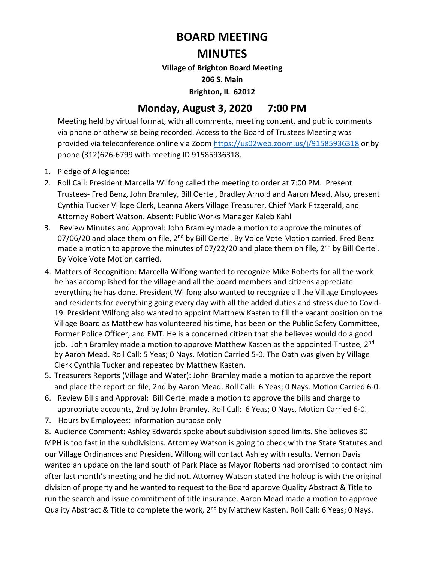## **BOARD MEETING**

## **MINUTES**

**Village of Brighton Board Meeting** 

**206 S. Main** 

**Brighton, IL 62012** 

## **Monday, August 3, 2020 7:00 PM**

Meeting held by virtual format, with all comments, meeting content, and public comments via phone or otherwise being recorded. Access to the Board of Trustees Meeting was provided via teleconference online via Zoo[m https://us02web.zoom.us/j/91585936318](https://us02web.zoom.us/j/91585936318) or by phone (312)626-6799 with meeting ID 91585936318.

- 1. Pledge of Allegiance:
- 2. Roll Call: President Marcella Wilfong called the meeting to order at 7:00 PM. Present Trustees- Fred Benz, John Bramley, Bill Oertel, Bradley Arnold and Aaron Mead. Also, present Cynthia Tucker Village Clerk, Leanna Akers Village Treasurer, Chief Mark Fitzgerald, and Attorney Robert Watson. Absent: Public Works Manager Kaleb Kahl
- 3. Review Minutes and Approval: John Bramley made a motion to approve the minutes of 07/06/20 and place them on file,  $2<sup>nd</sup>$  by Bill Oertel. By Voice Vote Motion carried. Fred Benz made a motion to approve the minutes of 07/22/20 and place them on file,  $2^{nd}$  by Bill Oertel. By Voice Vote Motion carried.
- 4. Matters of Recognition: Marcella Wilfong wanted to recognize Mike Roberts for all the work he has accomplished for the village and all the board members and citizens appreciate everything he has done. President Wilfong also wanted to recognize all the Village Employees and residents for everything going every day with all the added duties and stress due to Covid-19. President Wilfong also wanted to appoint Matthew Kasten to fill the vacant position on the Village Board as Matthew has volunteered his time, has been on the Public Safety Committee, Former Police Officer, and EMT. He is a concerned citizen that she believes would do a good job. John Bramley made a motion to approve Matthew Kasten as the appointed Trustee, 2<sup>nd</sup> by Aaron Mead. Roll Call: 5 Yeas; 0 Nays. Motion Carried 5-0. The Oath was given by Village Clerk Cynthia Tucker and repeated by Matthew Kasten.
- 5. Treasurers Reports (Village and Water): John Bramley made a motion to approve the report and place the report on file, 2nd by Aaron Mead. Roll Call: 6 Yeas; 0 Nays. Motion Carried 6-0.
- 6. Review Bills and Approval: Bill Oertel made a motion to approve the bills and charge to appropriate accounts, 2nd by John Bramley. Roll Call: 6 Yeas; 0 Nays. Motion Carried 6-0.
- 7. Hours by Employees: Information purpose only

8. Audience Comment: Ashley Edwards spoke about subdivision speed limits. She believes 30 MPH is too fast in the subdivisions. Attorney Watson is going to check with the State Statutes and our Village Ordinances and President Wilfong will contact Ashley with results. Vernon Davis wanted an update on the land south of Park Place as Mayor Roberts had promised to contact him after last month's meeting and he did not. Attorney Watson stated the holdup is with the original division of property and he wanted to request to the Board approve Quality Abstract & Title to run the search and issue commitment of title insurance. Aaron Mead made a motion to approve Quality Abstract & Title to complete the work, 2<sup>nd</sup> by Matthew Kasten. Roll Call: 6 Yeas; 0 Nays.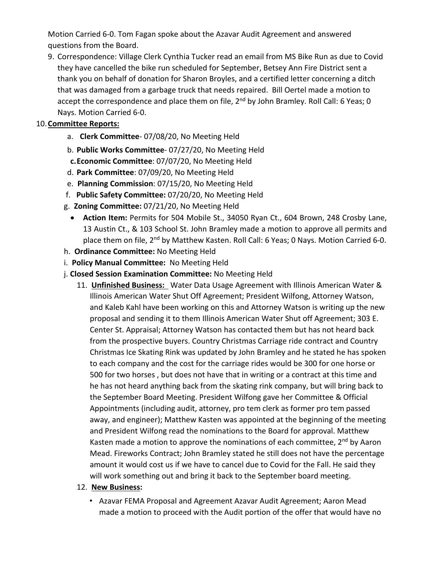Motion Carried 6-0. Tom Fagan spoke about the Azavar Audit Agreement and answered questions from the Board.

9. Correspondence: Village Clerk Cynthia Tucker read an email from MS Bike Run as due to Covid they have cancelled the bike run scheduled for September, Betsey Ann Fire District sent a thank you on behalf of donation for Sharon Broyles, and a certified letter concerning a ditch that was damaged from a garbage truck that needs repaired. Bill Oertel made a motion to accept the correspondence and place them on file, 2<sup>nd</sup> by John Bramley. Roll Call: 6 Yeas; 0 Nays. Motion Carried 6-0.

## 10.**Committee Reports:**

- a. **Clerk Committee** 07/08/20, No Meeting Held
- b. **Public Works Committee** 07/27/20, No Meeting Held
- **c.Economic Committee**: 07/07/20, No Meeting Held
- d. **Park Committee**: 07/09/20, No Meeting Held
- e. **Planning Commission**: 07/15/20, No Meeting Held
- f. **Public Safety Committee:** 07/20/20, No Meeting Held
- g. **Zoning Committee:** 07/21/20, No Meeting Held
	- **Action Item:** Permits for 504 Mobile St., 34050 Ryan Ct., 604 Brown, 248 Crosby Lane, 13 Austin Ct., & 103 School St. John Bramley made a motion to approve all permits and place them on file, 2<sup>nd</sup> by Matthew Kasten. Roll Call: 6 Yeas; 0 Nays. Motion Carried 6-0.
- h. **Ordinance Committee:** No Meeting Held
- i. **Policy Manual Committee:** No Meeting Held
- j. **Closed Session Examination Committee:** No Meeting Held
	- 11. **Unfinished Business:** Water Data Usage Agreement with Illinois American Water & Illinois American Water Shut Off Agreement; President Wilfong, Attorney Watson, and Kaleb Kahl have been working on this and Attorney Watson is writing up the new proposal and sending it to them Illinois American Water Shut off Agreement; 303 E. Center St. Appraisal; Attorney Watson has contacted them but has not heard back from the prospective buyers. Country Christmas Carriage ride contract and Country Christmas Ice Skating Rink was updated by John Bramley and he stated he has spoken to each company and the cost for the carriage rides would be 300 for one horse or 500 for two horses , but does not have that in writing or a contract at this time and he has not heard anything back from the skating rink company, but will bring back to the September Board Meeting. President Wilfong gave her Committee & Official Appointments (including audit, attorney, pro tem clerk as former pro tem passed away, and engineer); Matthew Kasten was appointed at the beginning of the meeting and President Wilfong read the nominations to the Board for approval. Matthew Kasten made a motion to approve the nominations of each committee,  $2^{nd}$  by Aaron Mead. Fireworks Contract; John Bramley stated he still does not have the percentage amount it would cost us if we have to cancel due to Covid for the Fall. He said they will work something out and bring it back to the September board meeting.
	- 12. **New Business:** 
		- Azavar FEMA Proposal and Agreement Azavar Audit Agreement; Aaron Mead made a motion to proceed with the Audit portion of the offer that would have no